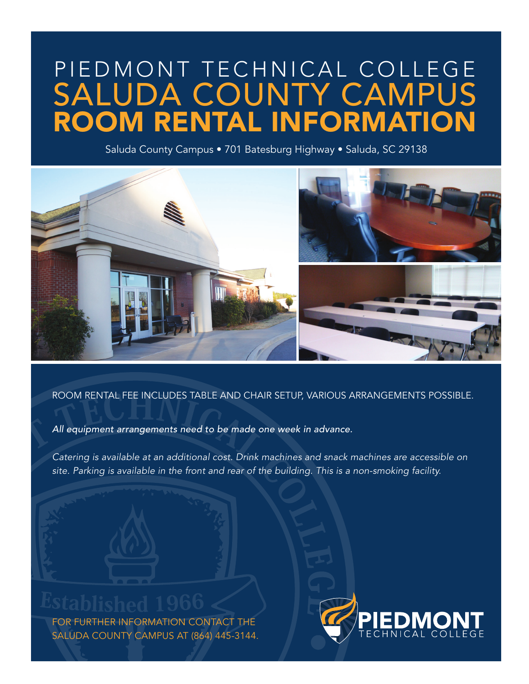# PIEDMONT TECHNICAL COLLEGE ROOM RENTAL INFORMATION SALUDA COUNTY CAMPUS

Saluda County Campus • 701 Batesburg Highway • Saluda, SC 29138



#### ROOM RENTAL FEE INCLUDES TABLE AND CHAIR SETUP, VARIOUS ARRANGEMENTS POSSIBLE.

*All equipment arrangements need to be made one week in advance.*

*Catering is available at an additional cost. Drink machines and snack machines are accessible on site. Parking is available in the front and rear of the building. This is a non-smoking facility.* 

FOR FURTHER INFORMATION CONTACT THE SALUDA COUNTY CAMPUS AT (864) 445-3144.